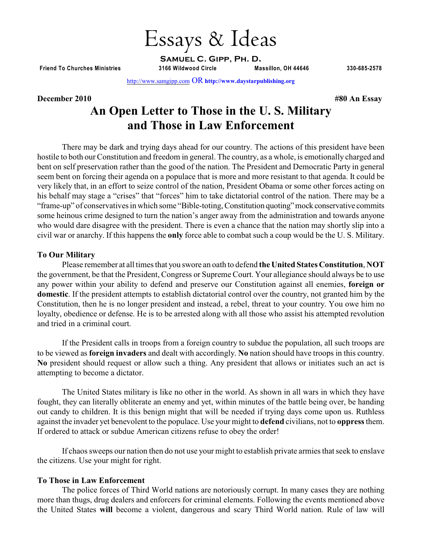**Friend To Churches Ministries 3166 Wildwood Circle Massillon, OH 44646 330-685-2578**

Essays & Ideas

**Samuel C. Gipp, Ph. D.**

[http://www.samgipp.com](http://biblebelievers.com/Gipp/) OR **http://www.daystarpublishing.org**

## **December 2010 #80 An Essay**

# **An Open Letter to Those in the U. S. Military and Those in Law Enforcement**

There may be dark and trying days ahead for our country. The actions of this president have been hostile to both our Constitution and freedom in general. The country, as a whole, is emotionally charged and bent on self preservation rather than the good of the nation. The President and Democratic Party in general seem bent on forcing their agenda on a populace that is more and more resistant to that agenda. It could be very likely that, in an effort to seize control of the nation, President Obama or some other forces acting on his behalf may stage a "crises" that "forces" him to take dictatorial control of the nation. There may be a "frame-up" of conservatives in which some "Bible-toting, Constitution quoting" mock conservative commits some heinous crime designed to turn the nation's anger away from the administration and towards anyone who would dare disagree with the president. There is even a chance that the nation may shortly slip into a civil war or anarchy. If this happens the **only** force able to combat such a coup would be the U. S. Military.

#### **To Our Military**

Please remember at all times that you swore an oath to defend **the United States Constitution**, **NOT** the government, be that the President, Congress or Supreme Court. Your allegiance should always be to use any power within your ability to defend and preserve our Constitution against all enemies, **foreign or domestic**. If the president attempts to establish dictatorial control over the country, not granted him by the Constitution, then he is no longer president and instead, a rebel, threat to your country. You owe him no loyalty, obedience or defense. He is to be arrested along with all those who assist his attempted revolution and tried in a criminal court.

If the President calls in troops from a foreign country to subdue the population, all such troops are to be viewed as **foreign invaders** and dealt with accordingly. **No** nation should have troops in this country. **No** president should request or allow such a thing. Any president that allows or initiates such an act is attempting to become a dictator.

The United States military is like no other in the world. As shown in all wars in which they have fought, they can literally obliterate an enemy and yet, within minutes of the battle being over, be handing out candy to children. It is this benign might that will be needed if trying days come upon us. Ruthless against the invader yet benevolent to the populace. Use your might to **defend** civilians, not to **oppress** them. If ordered to attack or subdue American citizens refuse to obey the order!

If chaos sweeps our nation then do not use your might to establish private armies that seek to enslave the citizens. Use your might for right.

## **To Those in Law Enforcement**

The police forces of Third World nations are notoriously corrupt. In many cases they are nothing more than thugs, drug dealers and enforcers for criminal elements. Following the events mentioned above the United States **will** become a violent, dangerous and scary Third World nation. Rule of law will